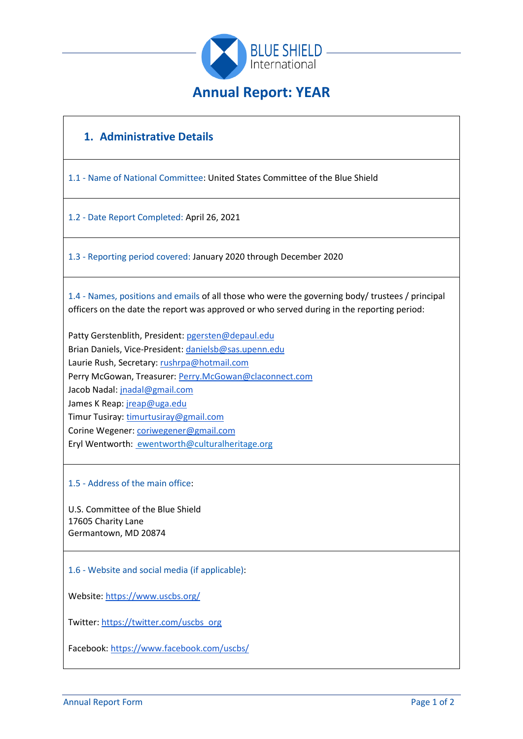

# **1. Administrative Details**

1.1 - Name of National Committee: United States Committee of the Blue Shield

1.2 - Date Report Completed: April 26, 2021

1.3 - Reporting period covered: January 2020 through December 2020

1.4 - Names, positions and emails of all those who were the governing body/ trustees / principal officers on the date the report was approved or who served during in the reporting period:

Patty Gerstenblith, President: [pgersten@depaul.edu](mailto:pgersten@depaul.edu) Brian Daniels, Vice-President[: danielsb@sas.upenn.edu](mailto:danielsb@sas.upenn.edu) Laurie Rush, Secretary: [rushrpa@hotmail.com](mailto:rushrpa@hotmail.com) Perry McGowan, Treasurer: [Perry.McGowan@claconnect.com](mailto:Perry.McGowan@claconnect.com) Jacob Nadal[: jnadal@gmail.com](mailto:jnadal@gmail.com) James K Reap[: jreap@uga.edu](mailto:jreap@uga.edu) Timur Tusiray: [timurtusiray@gmail.com](mailto:timurtusiray@gmail.com) Corine Wegener: [coriwegener@gmail.com](mailto:coriwegener@gmail.com) Eryl Wentworth: [ewentworth@culturalheritage.org](mailto:ewentworth@culturalheritage.org)

1.5 - Address of the main office:

U.S. Committee of the Blue Shield 17605 Charity Lane Germantown, MD 20874

1.6 - Website and social media (if applicable):

Website:<https://www.uscbs.org/>

Twitter[: https://twitter.com/uscbs\\_org](https://twitter.com/uscbs_org)

Facebook:<https://www.facebook.com/uscbs/>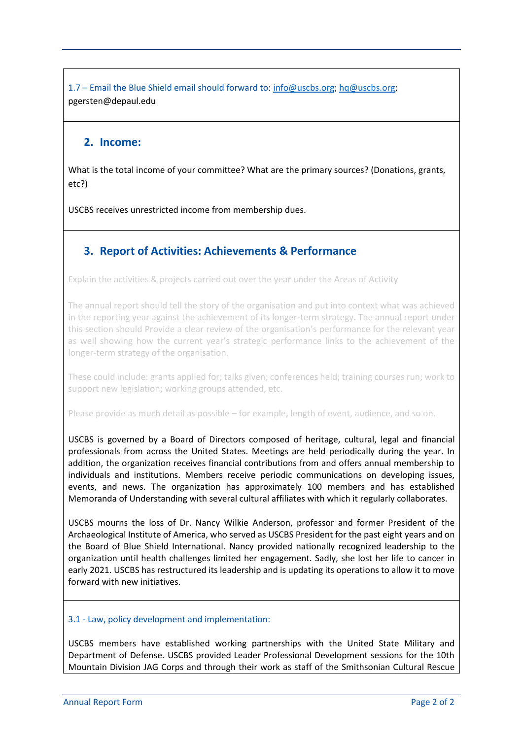1.7 – Email the Blue Shield email should forward to: [info@uscbs.org;](mailto:info@uscbs.org) [hq@uscbs.org;](mailto:hq@uscbs.org) pgersten@depaul.edu

### **2. Income:**

What is the total income of your committee? What are the primary sources? (Donations, grants, etc?)

USCBS receives unrestricted income from membership dues.

# **3. Report of Activities: Achievements & Performance**

Explain the activities & projects carried out over the year under the Areas of Activity

The annual report should tell the story of the organisation and put into context what was achieved in the reporting year against the achievement of its longer-term strategy. The annual report under this section should Provide a clear review of the organisation's performance for the relevant year as well showing how the current year's strategic performance links to the achievement of the longer-term strategy of the organisation.

These could include: grants applied for; talks given; conferences held; training courses run; work to support new legislation; working groups attended, etc.

Please provide as much detail as possible – for example, length of event, audience, and so on.

USCBS is governed by a Board of Directors composed of heritage, cultural, legal and financial professionals from across the United States. Meetings are held periodically during the year. In addition, the organization receives financial contributions from and offers annual membership to individuals and institutions. Members receive periodic communications on developing issues, events, and news. The organization has approximately 100 members and has established Memoranda of Understanding with several cultural affiliates with which it regularly collaborates.

USCBS mourns the loss of Dr. Nancy Wilkie Anderson, professor and former President of the Archaeological Institute of America, who served as USCBS President for the past eight years and on the Board of Blue Shield International. Nancy provided nationally recognized leadership to the organization until health challenges limited her engagement. Sadly, she lost her life to cancer in early 2021. USCBS has restructured its leadership and is updating its operations to allow it to move forward with new initiatives.

### 3.1 - Law, policy development and implementation:

USCBS members have established working partnerships with the United State Military and Department of Defense. USCBS provided Leader Professional Development sessions for the 10th Mountain Division JAG Corps and through their work as staff of the Smithsonian Cultural Rescue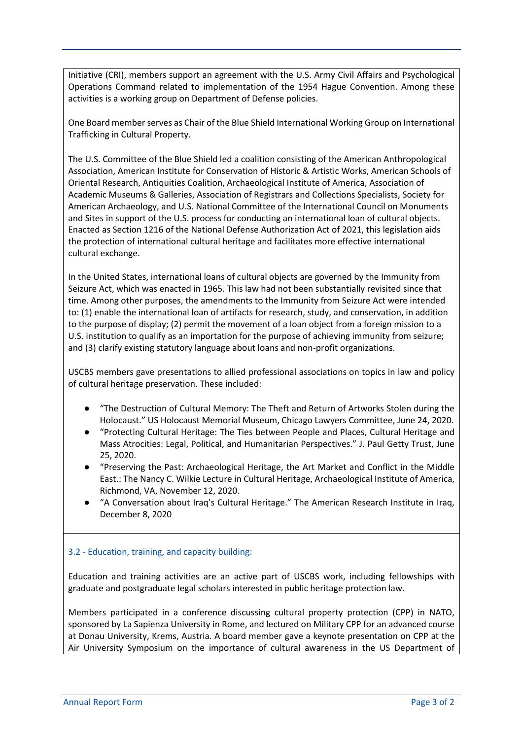Initiative (CRI), members support an agreement with the U.S. Army Civil Affairs and Psychological Operations Command related to implementation of the 1954 Hague Convention. Among these activities is a working group on Department of Defense policies.

One Board member serves as Chair of the Blue Shield International Working Group on International Trafficking in Cultural Property.

The U.S. Committee of the Blue Shield led a coalition consisting of the American Anthropological Association, American Institute for Conservation of Historic & Artistic Works, American Schools of Oriental Research, Antiquities Coalition, Archaeological Institute of America, Association of Academic Museums & Galleries, Association of Registrars and Collections Specialists, Society for American Archaeology, and U.S. National Committee of the International Council on Monuments and Sites in support of the U.S. process for conducting an international loan of cultural objects. Enacted as Section 1216 of the National Defense Authorization Act of 2021, this legislation aids the protection of international cultural heritage and facilitates more effective international cultural exchange.

In the United States, international loans of cultural objects are governed by the Immunity from Seizure Act, which was enacted in 1965. This law had not been substantially revisited since that time. Among other purposes, the amendments to the Immunity from Seizure Act were intended to: (1) enable the international loan of artifacts for research, study, and conservation, in addition to the purpose of display; (2) permit the movement of a loan object from a foreign mission to a U.S. institution to qualify as an importation for the purpose of achieving immunity from seizure; and (3) clarify existing statutory language about loans and non-profit organizations.

USCBS members gave presentations to allied professional associations on topics in law and policy of cultural heritage preservation. These included:

- "The Destruction of Cultural Memory: The Theft and Return of Artworks Stolen during the Holocaust." US Holocaust Memorial Museum, Chicago Lawyers Committee, June 24, 2020.
- "Protecting Cultural Heritage: The Ties between People and Places, Cultural Heritage and Mass Atrocities: Legal, Political, and Humanitarian Perspectives." J. Paul Getty Trust, June 25, 2020.
- "Preserving the Past: Archaeological Heritage, the Art Market and Conflict in the Middle East.: The Nancy C. Wilkie Lecture in Cultural Heritage, Archaeological Institute of America, Richmond, VA, November 12, 2020.
- "A Conversation about Iraq's Cultural Heritage." The American Research Institute in Iraq, December 8, 2020

### 3.2 - Education, training, and capacity building:

Education and training activities are an active part of USCBS work, including fellowships with graduate and postgraduate legal scholars interested in public heritage protection law.

Members participated in a conference discussing cultural property protection (CPP) in NATO, sponsored by La Sapienza University in Rome, and lectured on Military CPP for an advanced course at Donau University, Krems, Austria. A board member gave a keynote presentation on CPP at the Air University Symposium on the importance of cultural awareness in the US Department of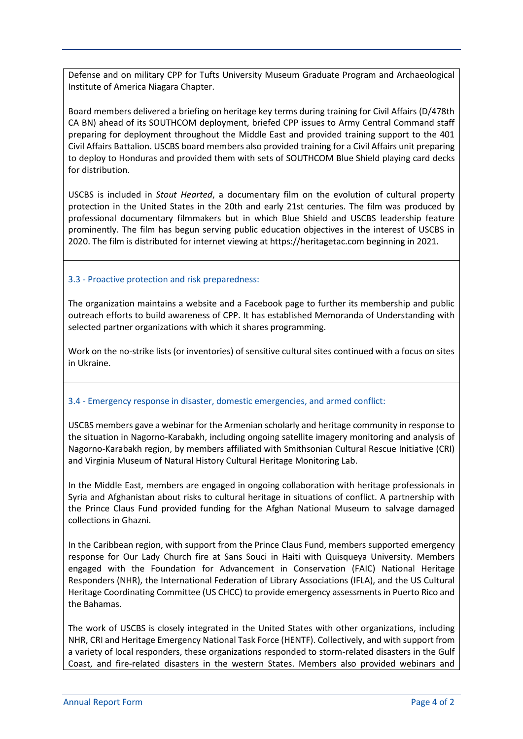Defense and on military CPP for Tufts University Museum Graduate Program and Archaeological Institute of America Niagara Chapter.

Board members delivered a briefing on heritage key terms during training for Civil Affairs (D/478th CA BN) ahead of its SOUTHCOM deployment, briefed CPP issues to Army Central Command staff preparing for deployment throughout the Middle East and provided training support to the 401 Civil Affairs Battalion. USCBS board members also provided training for a Civil Affairs unit preparing to deploy to Honduras and provided them with sets of SOUTHCOM Blue Shield playing card decks for distribution.

USCBS is included in *Stout Hearted*, a documentary film on the evolution of cultural property protection in the United States in the 20th and early 21st centuries. The film was produced by professional documentary filmmakers but in which Blue Shield and USCBS leadership feature prominently. The film has begun serving public education objectives in the interest of USCBS in 2020. The film is distributed for internet viewing at https://heritagetac.com beginning in 2021.

#### 3.3 - Proactive protection and risk preparedness:

The organization maintains a website and a Facebook page to further its membership and public outreach efforts to build awareness of CPP. It has established Memoranda of Understanding with selected partner organizations with which it shares programming.

Work on the no-strike lists (or inventories) of sensitive cultural sites continued with a focus on sites in Ukraine.

#### 3.4 - Emergency response in disaster, domestic emergencies, and armed conflict:

USCBS members gave a webinar for the Armenian scholarly and heritage community in response to the situation in Nagorno-Karabakh, including ongoing satellite imagery monitoring and analysis of Nagorno-Karabakh region, by members affiliated with Smithsonian Cultural Rescue Initiative (CRI) and Virginia Museum of Natural History Cultural Heritage Monitoring Lab.

In the Middle East, members are engaged in ongoing collaboration with heritage professionals in Syria and Afghanistan about risks to cultural heritage in situations of conflict. A partnership with the Prince Claus Fund provided funding for the Afghan National Museum to salvage damaged collections in Ghazni.

In the Caribbean region, with support from the Prince Claus Fund, members supported emergency response for Our Lady Church fire at Sans Souci in Haiti with Quisqueya University. Members engaged with the Foundation for Advancement in Conservation (FAIC) National Heritage Responders (NHR), the International Federation of Library Associations (IFLA), and the US Cultural Heritage Coordinating Committee (US CHCC) to provide emergency assessments in Puerto Rico and the Bahamas.

The work of USCBS is closely integrated in the United States with other organizations, including NHR, CRI and Heritage Emergency National Task Force (HENTF). Collectively, and with support from a variety of local responders, these organizations responded to storm-related disasters in the Gulf Coast, and fire-related disasters in the western States. Members also provided webinars and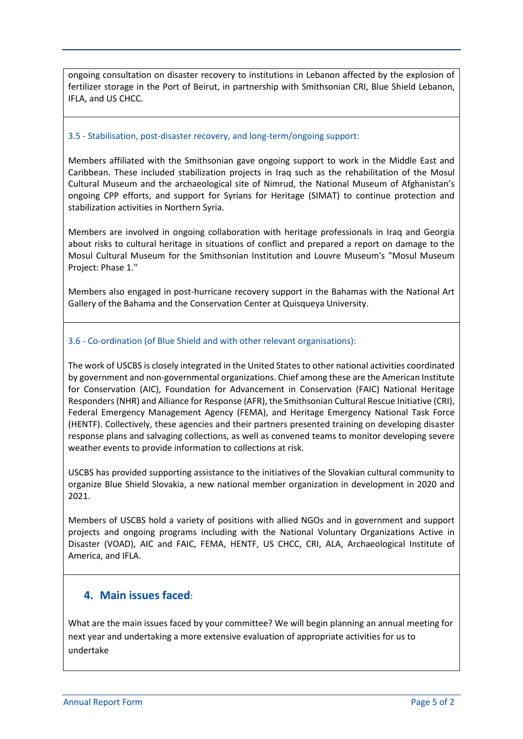ongoing consultation on disaster recovery to institutions in Lebanon affected by the explosion of fertilizer storage in the Port of Beirut, in partnership with Smithsonian CRI, Blue Shield Lebanon, IFLA, and US CHCC.

#### 3.5 - Stabilisation, post-disaster recovery, and long-term/ongoing support:

Members affiliated with the Smithsonian gave ongoing support to work in the Middle East and Caribbean. These included stabilization projects in Iraq such as the rehabilitation of the Mosul Cultural Museum and the archaeological site of Nimrud, the National Museum of Afghanistan's ongoing CPP efforts, and support for Syrians for Heritage (SIMAT) to continue protection and stabilization activities in Northern Syria.

Members are involved in ongoing collaboration with heritage professionals in Iraq and Georgia about risks to cultural heritage in situations of conflict and prepared a report on damage to the Mosul Cultural Museum for the Smithsonian Institution and Louvre Museum's "Mosul Museum Project: Phase 1."

Members also engaged in post-hurricane recovery support in the Bahamas with the National Art Gallery of the Bahama and the Conservation Center at Quisqueya University.

### 3.6 - Co-ordination (of Blue Shield and with other relevant organisations):

The work of USCBS is closely integrated in the United States to other national activities coordinated by government and non-governmental organizations. Chief among these are the American Institute for Conservation (AIC), Foundation for Advancement in Conservation (FAIC) National Heritage Responders (NHR) and Alliance for Response (AFR), the Smithsonian Cultural Rescue Initiative (CRI), Federal Emergency Management Agency (FEMA), and Heritage Emergency National Task Force (HENTF). Collectively, these agencies and their partners presented training on developing disaster response plans and salvaging collections, as well as convened teams to monitor developing severe weather events to provide information to collections at risk.

USCBS has provided supporting assistance to the initiatives of the Slovakian cultural community to organize Blue Shield Slovakia, a new national member organization in development in 2020 and 2021.

Members of USCBS hold a variety of positions with allied NGOs and in government and support projects and ongoing programs including with the National Voluntary Organizations Active in Disaster (VOAD), AIC and FAIC, FEMA, HENTF, US CHCC, CRI, ALA, Archaeological Institute of America, and IFLA.

### **4. Main issues faced**:

What are the main issues faced by your committee? We will begin planning an annual meeting for next year and undertaking a more extensive evaluation of appropriate activities for us to undertake